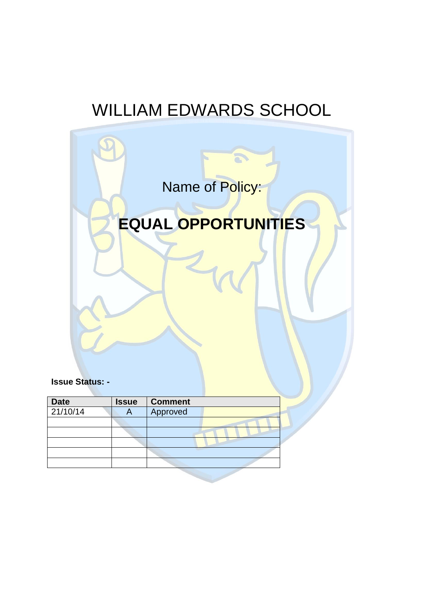# WILLIAM EDWARDS SCHOOL



**Issue Status: -**

| <b>Date</b> | <b>Issue</b> | <b>Comment</b> |  |
|-------------|--------------|----------------|--|
| 21/10/14    |              | Approved       |  |
|             |              |                |  |
|             |              |                |  |
|             |              |                |  |
|             |              |                |  |
|             |              |                |  |
|             |              |                |  |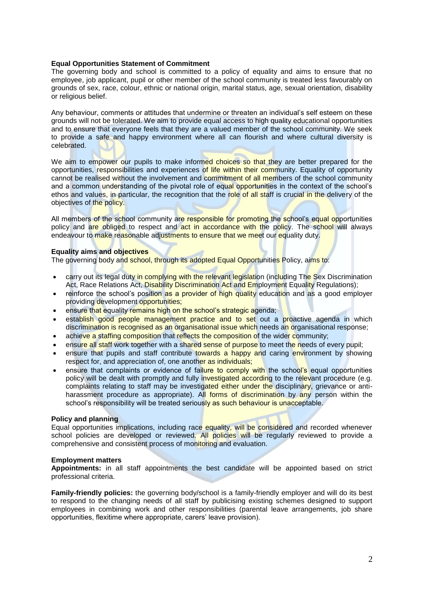## **Equal Opportunities Statement of Commitment**

The governing body and school is committed to a policy of equality and aims to ensure that no employee, job applicant, pupil or other member of the school community is treated less favourably on grounds of sex, race, colour, ethnic or national origin, marital status, age, sexual orientation, disability or religious belief.

Any behaviour, comments or attitudes that undermine or threaten an individual's self esteem on these grounds will not be tolerated. We aim to provide equal access to high quality educational opportunities and to ensure that everyone feels that they are a valued member of the school community. We seek to provide a safe and happy environment where all can flourish and where cultural diversity is celebrated.

We aim to empower our pupils to make informed choices so that they are better prepared for the opportunities, responsibilities and experiences of life within their community. Equality of opportunity cannot be realised without the involvement and commitment of all members of the school community and a common understanding of the pivotal role of equal opportunities in the context of the school's ethos and values, in particular, the recognition that the role of all staff is crucial in the delivery of the objectives of the policy.

All members of the school community are responsible for promoting the school's equal opportunities policy and are obliged to respect and act in accordance with the policy. The school will always endeavour to make reasonable adjustments to ensure that we meet our equality duty.

## **Equality aims and objectives**

The governing body and school, through its adopted Equal Opportunities Policy, aims to:

- carry out its legal duty in complying with the relevant legislation (including The Sex Discrimination Act, Race Relations Act, Disability Discrimination Act and Employment Equality Regulations);
- reinforce the school's position as a provider of high quality education and as a good employer providing development opportunities;
- **e** ensure that equality remains high on the school's strategic agenda;
- establish good people management practice and to set out a proactive agenda in which discrimination is recognised as an organisational issue which needs an organisational response;
- achieve a staffing composition that reflects the composition of the wider community;
- ensure all staff work together with a shared sense of purpose to meet the needs of every pupil;
- ensure that pupils and staff contribute towards a happy and caring environment by showing respect for, and appreciation of, one another as individuals;
- ensure that complaints or evidence of failure to comply with the school's equal opportunities policy will be dealt with promptly and fully investigated according to the relevant procedure (e.g. complaints relating to staff may be investigated either under the disciplinary, grievance or antiharassment procedure as appropriate). All forms of discrimination by any person within the school's responsibility will be treated seriously as such behaviour is unacceptable.

## **Policy and planning**

Equal opportunities implications, including race equality, will be considered and recorded whenever school policies are developed or reviewed. All policies will be regularly reviewed to provide a comprehensive and consistent process of monitoring and evaluation.

## **Employment matters**

**Appointments:** in all staff appointments the best candidate will be appointed based on strict professional criteria.

**Family-friendly policies:** the governing body/school is a family-friendly employer and will do its best to respond to the changing needs of all staff by publicising existing schemes designed to support employees in combining work and other responsibilities (parental leave arrangements, job share opportunities, flexitime where appropriate, carers' leave provision).